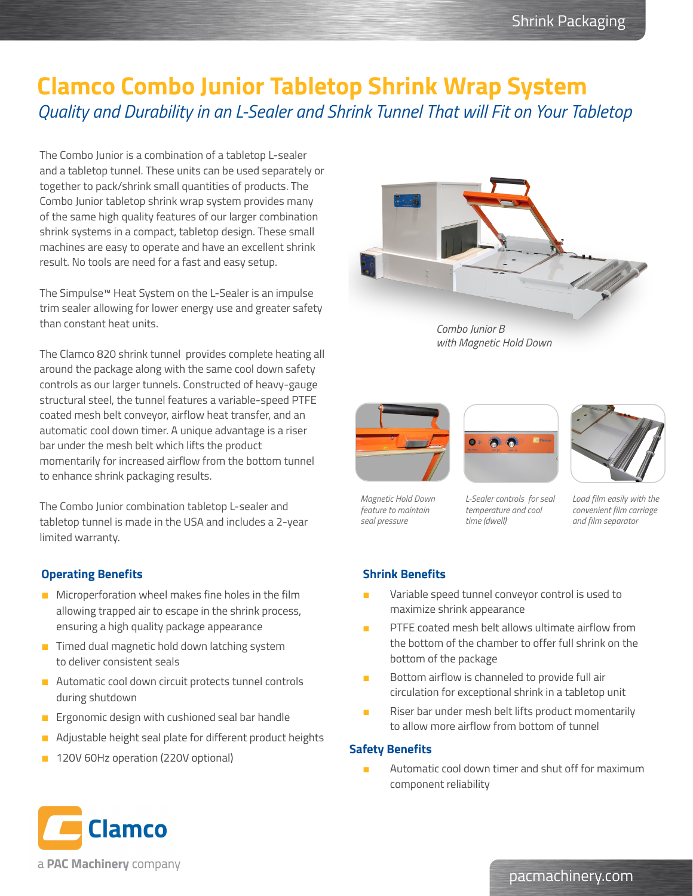# **Clamco Combo Junior Tabletop Shrink Wrap System** *Quality and Durability in an L-Sealer and Shrink Tunnel That will Fit on Your Tabletop*

The Combo Junior is a combination of a tabletop L-sealer and a tabletop tunnel. These units can be used separately or together to pack/shrink small quantities of products. The Combo Junior tabletop shrink wrap system provides many of the same high quality features of our larger combination shrink systems in a compact, tabletop design. These small machines are easy to operate and have an excellent shrink result. No tools are need for a fast and easy setup.

The Simpulse™ Heat System on the L-Sealer is an impulse trim sealer allowing for lower energy use and greater safety than constant heat units.

The Clamco 820 shrink tunnel provides complete heating all around the package along with the same cool down safety controls as our larger tunnels. Constructed of heavy-gauge structural steel, the tunnel features a variable-speed PTFE coated mesh belt conveyor, airflow heat transfer, and an automatic cool down timer. A unique advantage is a riser bar under the mesh belt which lifts the product momentarily for increased airflow from the bottom tunnel to enhance shrink packaging results.

The Combo Junior combination tabletop L-sealer and tabletop tunnel is made in the USA and includes a 2-year limited warranty.

## **Operating Benefits**

- Microperforation wheel makes fine holes in the film allowing trapped air to escape in the shrink process, ensuring a high quality package appearance
- **Timed dual magnetic hold down latching system** to deliver consistent seals
- **Automatic cool down circuit protects tunnel controls** during shutdown
- **Ergonomic design with cushioned seal bar handle**
- **Adjustable height seal plate for different product heights**
- **120V 60Hz operation (220V optional)**



*Combo Junior B with Magnetic Hold Down*







*Magnetic Hold Down feature to maintain seal pressure*

*L-Sealer controls for seal temperature and cool time (dwell)*

*Load film easily with the convenient film carriage and film separator*

### **Shrink Benefits**

- Variable speed tunnel conveyor control is used to maximize shrink appearance
- PTFE coated mesh belt allows ultimate airflow from the bottom of the chamber to offer full shrink on the bottom of the package
- Bottom airflow is channeled to provide full air circulation for exceptional shrink in a tabletop unit
- Riser bar under mesh belt lifts product momentarily to allow more airflow from bottom of tunnel

#### **Safety Benefits**

Automatic cool down timer and shut off for maximum component reliability



a PAC Machinery company